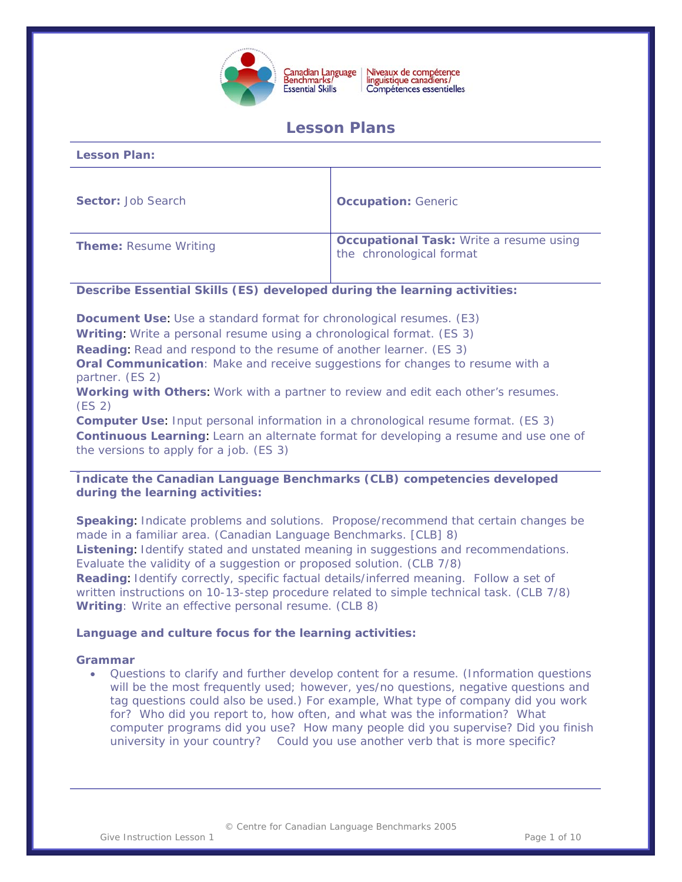

# **Lesson Plans**

| <b>Lesson Plan:</b>          |                                                                            |
|------------------------------|----------------------------------------------------------------------------|
| <b>Sector: Job Search</b>    | <b>Occupation: Generic</b>                                                 |
| <b>Theme: Resume Writing</b> | <b>Occupational Task: Write a resume using</b><br>the chronological format |

## **Describe Essential Skills (ES) developed during the learning activities:**

**Document Use**: Use a standard format for chronological resumes. (E3)

**Writing**: Write a personal resume using a chronological format. (ES 3)

**Reading**: Read and respond to the resume of another learner. (ES 3)

**Oral Communication**: Make and receive suggestions for changes to resume with a partner. (ES 2)

**Working with Others**: Work with a partner to review and edit each other's resumes. (ES 2)

**Computer Use**: Input personal information in a chronological resume format. (ES 3) **Continuous Learning**: Learn an alternate format for developing a resume and use one of the versions to apply for a job. (ES 3)

## **Indicate the Canadian Language Benchmarks (CLB) competencies developed during the learning activities:**

**Speaking**: Indicate problems and solutions. Propose/recommend that certain changes be made in a familiar area. (Canadian Language Benchmarks. [CLB] 8) **Listening**: Identify stated and unstated meaning in suggestions and recommendations. Evaluate the validity of a suggestion or proposed solution. (CLB 7/8) **Reading**: Identify correctly, specific factual details/inferred meaning. Follow a set of written instructions on 10-13-step procedure related to simple technical task. (CLB 7/8) **Writing**: Write an effective personal resume. (CLB 8)

## **Language and culture focus for the learning activities:**

## **Grammar**

• Questions to clarify and further develop content for a resume. (Information questions will be the most frequently used; however, yes/no questions, negative questions and tag questions could also be used.) For example, *What type of company did you work for*? *Who did you report to, how often, and what was the information? What computer programs did you use? How many people did you supervise*? *Did you finish university in your country? Could you use another verb that is more specific?*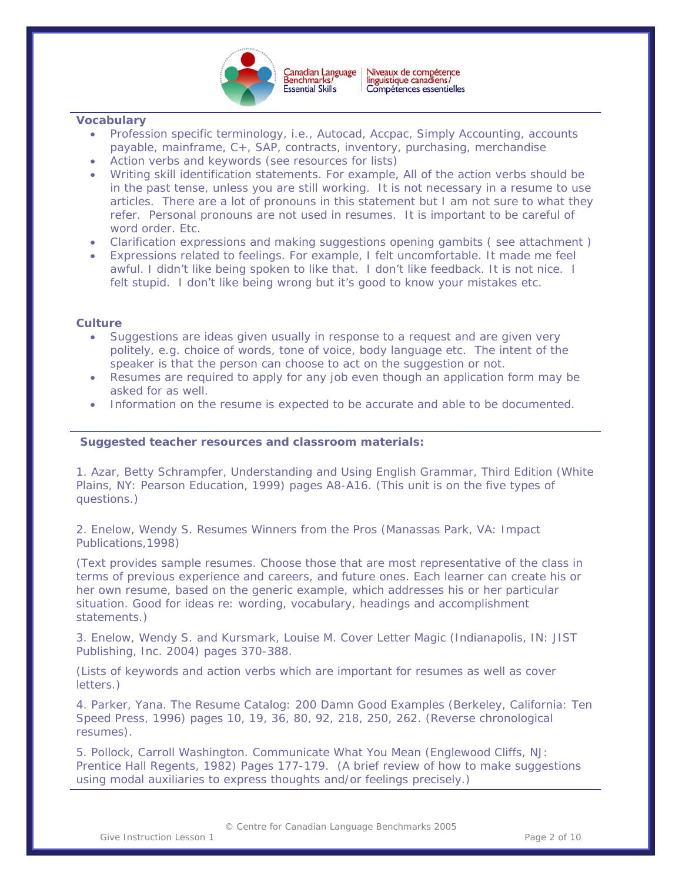

 $\overline{a}$ 

## **Vocabulary**

- Profession specific terminology, i.e., Autocad, Accpac, Simply Accounting, accounts payable, mainframe, C+, SAP, contracts, inventory, purchasing, merchandise
- Action verbs and keywords (see resources for lists)
- Writing skill identification statements. For example, *All of the action verbs should be in the past tense, unless you are still working. It is not necessary in a resume to use articles. There are a lot of pronouns in this statement but I am not sure to what they refer. Personal pronouns are not used in resumes. It is important to be careful of word order. Etc.*
- Clarification expressions and making suggestions opening gambits ( see attachment )
- Expressions related to feelings. For example, *I felt uncomfortable. It made me feel awful. I didn't like being spoken to like that. I don't like feedback. It is not nice. I felt stupid. I don't like being wrong but it's good to know your mistakes etc.*

## **Culture**

- Suggestions are ideas given usually in response to a request and are given very politely, e.g. choice of words, tone of voice, body language etc. The intent of the speaker is that the person can choose to act on the suggestion or not.
- Resumes are required to apply for any job even though an application form may be asked for as well.
- Information on the resume is expected to be accurate and able to be documented.

## **Suggested teacher resources and classroom materials:**

1. Azar, Betty Schrampfer, *Understanding and Using English Grammar, Third Edition (*White Plains, NY: Pearson Education, 1999) pages A8-A16. (This unit is on the five types of questions.)

2. Enelow, Wendy S. *Resumes Winners from the Pros* (Manassas Park, VA: Impact Publications,1998)

(Text provides sample resumes. Choose those that are most representative of the class in terms of previous experience and careers, and future ones. Each learner can create his or her own resume, based on the generic example, which addresses his or her particular situation. Good for ideas re: wording, vocabulary, headings and accomplishment statements.)

3. Enelow, Wendy S. and Kursmark, Louise M. *Cover Letter Magic* (Indianapolis, IN: JIST Publishing, Inc. 2004) pages 370-388.

(Lists of keywords and action verbs which are important for resumes as well as cover letters.)

4. Parker, Yana. *The Resume Catalog: 200 Damn Good Examples* (Berkeley, California: Ten Speed Press, 1996) pages 10, 19, 36, 80, 92, 218, 250, 262. (Reverse chronological resumes).

5. Pollock, Carroll Washington. *Communicate What You Mean (*Englewood Cliffs, NJ: Prentice Hall Regents, 1982) Pages 177-179. (A brief review of how to make suggestions using modal auxiliaries to express thoughts and/or feelings precisely.)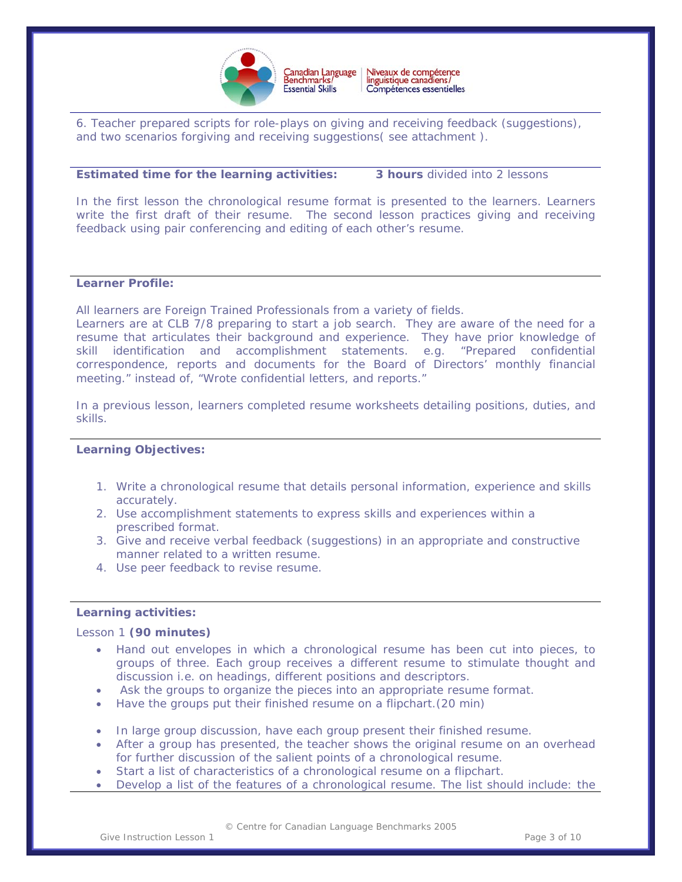

6. Teacher prepared scripts for role-plays on giving and receiving feedback (suggestions), and two scenarios forgiving and receiving suggestions( see attachment ).

## **Estimated time for the learning activities: 3 hours** divided into 2 lessons

 $\overline{a}$ 

In the first lesson the chronological resume format is presented to the learners. Learners write the first draft of their resume. The second lesson practices giving and receiving feedback using pair conferencing and editing of each other's resume.

## **Learner Profile:**

All learners are Foreign Trained Professionals from a variety of fields.

Learners are at CLB 7/8 preparing to start a job search. They are aware of the need for a resume that articulates their background and experience. They have prior knowledge of skill identification and accomplishment statements. e.g. "Prepared confidential correspondence, reports and documents for the Board of Directors' monthly financial meeting." *instead of, "*Wrote confidential letters, and reports."

In a previous lesson, learners completed resume worksheets detailing positions, duties, and skills.

## **Learning Objectives:**

- 1. Write a chronological resume that details personal information, experience and skills accurately.
- 2. Use accomplishment statements to express skills and experiences within a prescribed format.
- 3. Give and receive verbal feedback (suggestions) in an appropriate and constructive manner related to a written resume.
- 4. Use peer feedback to revise resume.

## **Learning activities:**

## Lesson 1 **(90 minutes)**

- Hand out envelopes in which a chronological resume has been cut into pieces, to groups of three. Each group receives a different resume to stimulate thought and discussion i.e. on headings, different positions and descriptors.
- Ask the groups to organize the pieces into an appropriate resume format.
- Have the groups put their finished resume on a flipchart.(20 min)
- In large group discussion, have each group present their finished resume.
- After a group has presented, the teacher shows the original resume on an overhead for further discussion of the salient points of a chronological resume.
- Start a list of characteristics of a chronological resume on a flipchart.
- Develop a list of the features of a chronological resume. The list should include: the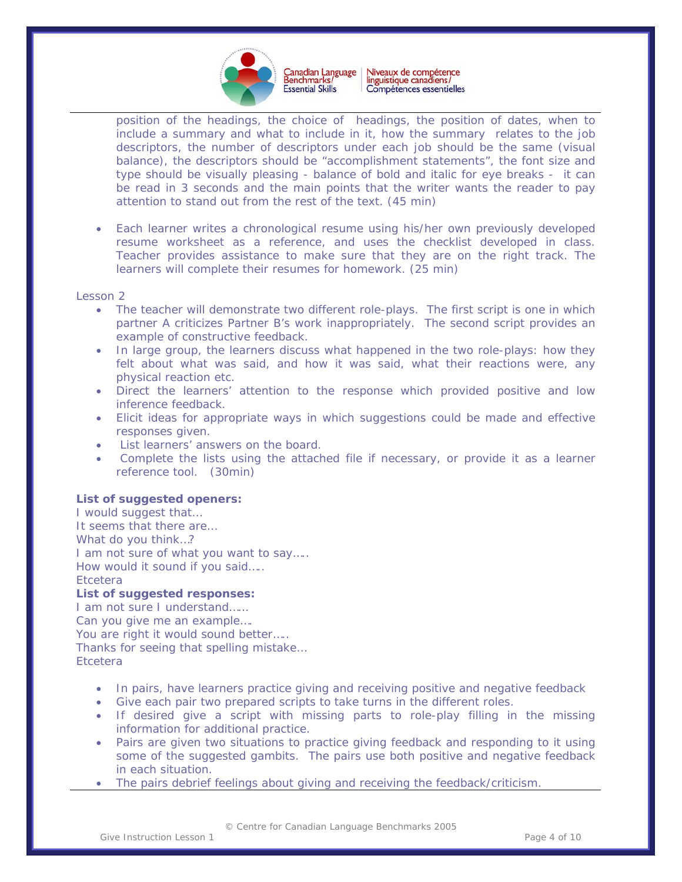

 $\overline{a}$ position of the headings, the choice of headings, the position of dates, when to include a summary and what to include in it, how the summary relates to the job descriptors, the number of descriptors under each job should be the same (visual balance), the descriptors should be "accomplishment statements", the font size and type should be visually pleasing - balance of bold and italic for eye breaks - it can be read in 3 seconds and the main points that the writer wants the reader to pay attention to stand out from the rest of the text. (45 min)

• Each learner writes a chronological resume using his/her own previously developed resume worksheet as a reference, and uses the checklist developed in class. Teacher provides assistance to make sure that they are on the right track. The learners will complete their resumes for homework. (25 min)

#### Lesson 2

- The teacher will demonstrate two different role-plays. The first script is one in which partner A criticizes Partner B's work inappropriately. The second script provides an example of constructive feedback.
- In large group, the learners discuss what happened in the two role-plays: how they felt about what was said, and how it was said, what their reactions were, any physical reaction etc.
- Direct the learners' attention to the response which provided positive and low inference feedback.
- Elicit ideas for appropriate ways in which suggestions could be made and effective responses given.
- List learners' answers on the board.
- Complete the lists using the attached file if necessary, or provide it as a learner reference tool. (30min)

#### **List of suggested openers:**

I would suggest that… It seems that there are… What do you think…? I am not sure of what you want to say..... How would it sound if you said….. **Etcetera List of suggested responses:**  I am not sure I understand……

Can you give me an example….

You are right it would sound better.....

Thanks for seeing that spelling mistake…

**Etcetera** 

- In pairs, have learners practice giving and receiving positive and negative feedback
- Give each pair two prepared scripts to take turns in the different roles.
- If desired give a script with missing parts to role-play filling in the missing information for additional practice.
- Pairs are given two situations to practice giving feedback and responding to it using some of the suggested gambits. The pairs use both positive and negative feedback in each situation.
- The pairs debrief feelings about giving and receiving the feedback/criticism.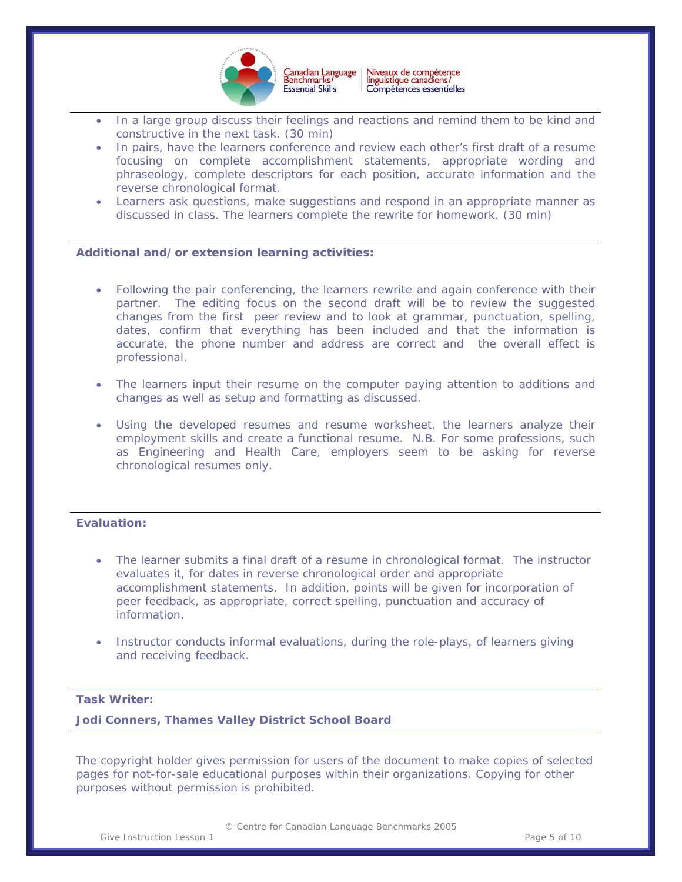

- $\overline{a}$ In a large group discuss their feelings and reactions and remind them to be kind and constructive in the next task. (30 min)
- In pairs, have the learners conference and review each other's first draft of a resume focusing on complete accomplishment statements, appropriate wording and phraseology, complete descriptors for each position, accurate information and the reverse chronological format.
- Learners ask questions, make suggestions and respond in an appropriate manner as discussed in class. The learners complete the rewrite for homework. (30 min)

## **Additional and/or extension learning activities:**

- Following the pair conferencing, the learners rewrite and again conference with their partner. The editing focus on the second draft will be to review the suggested changes from the first peer review and to look at grammar, punctuation, spelling, dates, confirm that everything has been included and that the information is accurate, the phone number and address are correct and the overall effect is professional.
- The learners input their resume on the computer paying attention to additions and changes as well as setup and formatting as discussed.
- Using the developed resumes and resume worksheet, the learners analyze their employment skills and create a functional resume. N.B. For some professions, such as Engineering and Health Care, employers seem to be asking for reverse chronological resumes only.

## **Evaluation:**

- The learner submits a final draft of a resume in chronological format. The instructor evaluates it, for dates in reverse chronological order and appropriate accomplishment statements. In addition, points will be given for incorporation of peer feedback, as appropriate, correct spelling, punctuation and accuracy of information.
- Instructor conducts informal evaluations, during the role-plays, of learners giving and receiving feedback.

## **Task Writer:**

**Jodi Conners, Thames Valley District School Board** 

*The copyright holder gives permission for users of the document to make copies of selected pages for not-for-sale educational purposes within their organizations. Copying for other purposes without permission is prohibited.* 

© Centre for Canadian Language Benchmarks 2005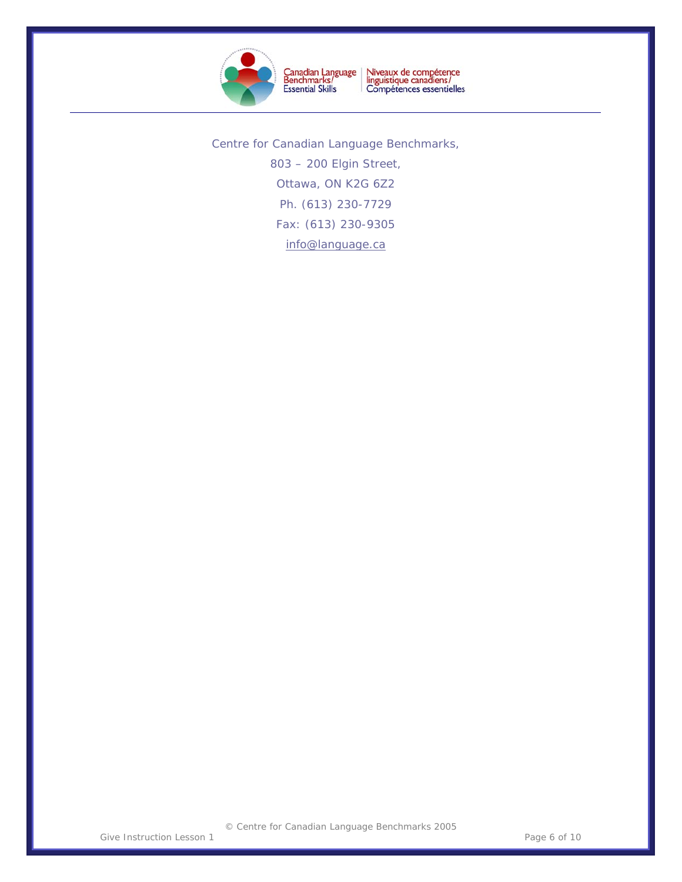

Niveaux de compétence<br>linguistique canadiens/<br>Compétences essentielles Canadian Language<br>Benchmarks/<br>Essential Skills

 $\overline{a}$ 

Centre for Canadian Language Benchmarks, 803 – 200 Elgin Street, Ottawa, ON K2G 6Z2 Ph. (613) 230-7729 Fax: (613) 230-9305 [info@language.ca](mailto:info@language.ca)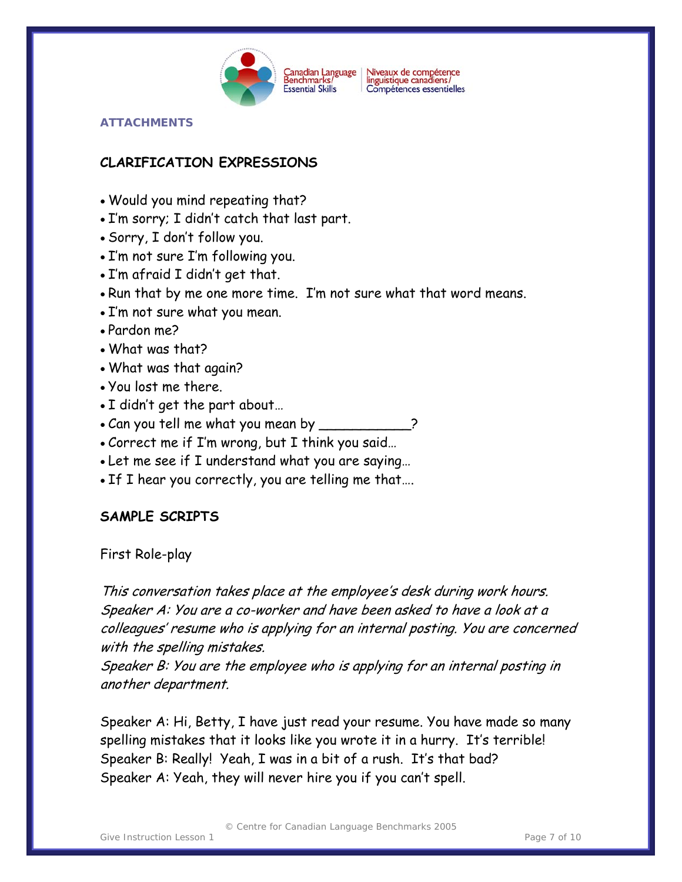

Niveaux de compétence<br>linguistique canadiens/ Compétences essentielles

## **ATTACHMENTS**

# **CLARIFICATION EXPRESSIONS**

- Would you mind repeating that?
- I'm sorry; I didn't catch that last part.
- Sorry, I don't follow you.
- I'm not sure I'm following you.
- I'm afraid I didn't get that.
- Run that by me one more time. I'm not sure what that word means.
- I'm not sure what you mean.
- Pardon me?
- What was that?
- What was that again?
- You lost me there.
- I didn't get the part about…
- Can you tell me what you mean by \_\_\_
- Correct me if I'm wrong, but I think you said…
- Let me see if I understand what you are saying…
- If I hear you correctly, you are telling me that….

# **SAMPLE SCRIPTS**

First Role-play

This conversation takes place at the employee's desk during work hours. Speaker A: You are a co-worker and have been asked to have a look at a colleagues' resume who is applying for an internal posting. You are concerned with the spelling mistakes.

Speaker B: You are the employee who is applying for an internal posting in another department.

Speaker A: Hi, Betty, I have just read your resume. You have made so many spelling mistakes that it looks like you wrote it in a hurry. It's terrible! Speaker B: Really! Yeah, I was in a bit of a rush. It's that bad? Speaker A: Yeah, they will never hire you if you can't spell.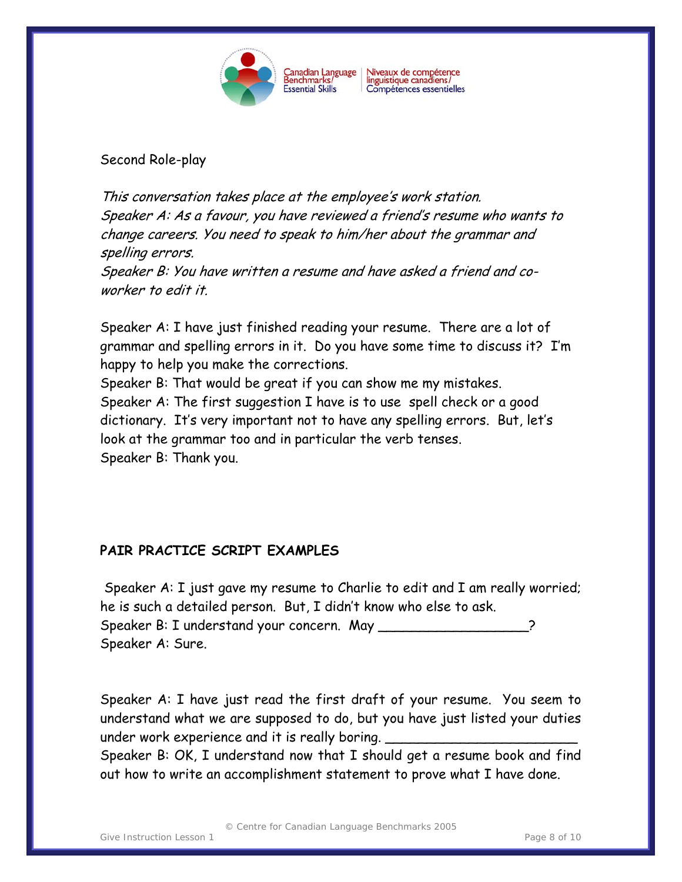

Second Role-play

This conversation takes place at the employee's work station. Speaker A: As a favour, you have reviewed a friend's resume who wants to change careers. You need to speak to him/her about the grammar and spelling errors. Speaker B: You have written a resume and have asked a friend and coworker to edit it.

Speaker A: I have just finished reading your resume. There are a lot of grammar and spelling errors in it. Do you have some time to discuss it? I'm happy to help you make the corrections.

Speaker B: That would be great if you can show me my mistakes. Speaker A: The first suggestion I have is to use spell check or a good dictionary. It's very important not to have any spelling errors. But, let's look at the grammar too and in particular the verb tenses. Speaker B: Thank you.

# **PAIR PRACTICE SCRIPT EXAMPLES**

 Speaker A: I just gave my resume to Charlie to edit and I am really worried; he is such a detailed person. But, I didn't know who else to ask. Speaker B: I understand your concern. May Speaker A: Sure.

Speaker A: I have just read the first draft of your resume. You seem to understand what we are supposed to do, but you have just listed your duties under work experience and it is really boring.

Speaker B: OK, I understand now that I should get a resume book and find out how to write an accomplishment statement to prove what I have done.

© Centre for Canadian Language Benchmarks 2005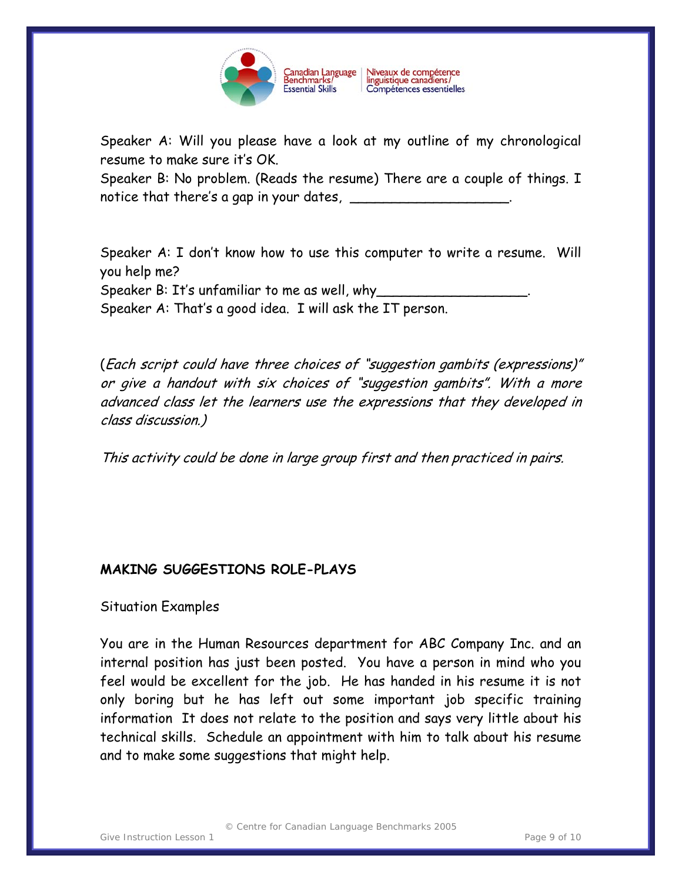

Speaker A: Will you please have a look at my outline of my chronological resume to make sure it's OK.

Speaker B: No problem. (Reads the resume) There are a couple of things. I notice that there's a gap in your dates,  $\frac{1}{\sqrt{2\pi}}$ 

Speaker A: I don't know how to use this computer to write a resume. Will you help me? Speaker B: It's unfamiliar to me as well, why

Speaker A: That's a good idea. I will ask the IT person.

(Each script could have three choices of "suggestion gambits (expressions)" or give a handout with six choices of "suggestion gambits". With a more advanced class let the learners use the expressions that they developed in class discussion.)

This activity could be done in large group first and then practiced in pairs.

# **MAKING SUGGESTIONS ROLE-PLAYS**

# Situation Examples

You are in the Human Resources department for ABC Company Inc. and an internal position has just been posted. You have a person in mind who you feel would be excellent for the job. He has handed in his resume it is not only boring but he has left out some important job specific training information It does not relate to the position and says very little about his technical skills. Schedule an appointment with him to talk about his resume and to make some suggestions that might help.